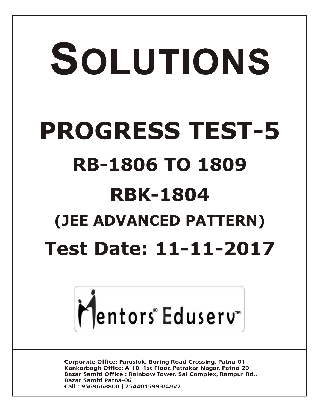# SOLUTIONS **PROGRESS TEST-5 RB-1806 TO 1809 RBK-1804 (JEE ADVANCED PATTERN) Test Date: 11-11-2017**



**Corporate Office: Paruslok, Boring Road Crossing, Patna-01** Kankarbagh Office: A-10, 1st Floor, Patrakar Nagar, Patna-20 Bazar Samiti Office: Rainbow Tower, Sai Complex, Rampur Rd., **Bazar Samiti Patna-06** Call: 9569668800 | 7544015993/4/6/7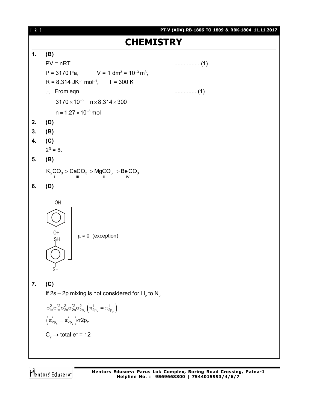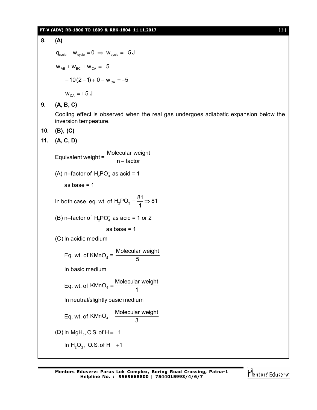### **PT-V (ADV) RB-1806 TO 1809 & RBK-1804\_11.11.2017** [ **3** ]

**8. (A)**  $q_{\text{cycle}} + w_{\text{cycle}} = 0 \Rightarrow w_{\text{cycle}} = -5J$  $W_{AB} + W_{BC} + W_{CA} = -5$  $-10(2-1) + 0 + w_{CA} = -5$  $w_{CA} = +5$  J **9. (A, B, C)** Cooling effect is observed when the real gas undergoes adiabatic expansion below the inversion tempeature. **10. (B), (C) 11. (A, C, D)** Equivalent weight = Molecular weight n – factor (A) n–factor of  $H_2PO_3^-$  as acid = 1 as base  $= 1$ In both case, eq. wt. of  $H_2PO_3 = \frac{81}{4} \Rightarrow 81$ 1  $=\frac{34}{4} \Rightarrow$ (B) n–factor of  $H_2$ PO $_4^-$  as acid = 1 or 2 as base  $= 1$ (C) In acidic medium Eq. wt. of  $KMnO<sub>4</sub> =$ Molecular weight 5 In basic medium Eq. wt. of  $KMnO_4 = \frac{Molecular weight}{4}$ 1  $=$ In neutral/slightly basic medium Eq. wt. of KMnO<sub>4</sub> =  $\frac{\text{Molecular weight}}{2}$ 3  $=$ (D) In MgH<sub>2</sub>, O.S. of H =  $-1$ In  $H_2O_2$ , O.S. of H = +1

Mentors Eduserv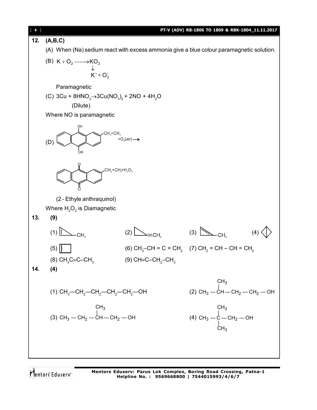| 4   |                                                                                                        |                               | PT-V (ADV) RB-1806 TO 1809 & RBK-1804_11.11.2017                                              |  |  |
|-----|--------------------------------------------------------------------------------------------------------|-------------------------------|-----------------------------------------------------------------------------------------------|--|--|
| 12. | (A,B,C)                                                                                                |                               |                                                                                               |  |  |
|     | (A) When (Na) sedium react with excess ammonia give a blue colour paramagnetic solution.               |                               |                                                                                               |  |  |
|     | (B) $K + O_2 \longrightarrow KO_2$                                                                     |                               |                                                                                               |  |  |
|     | $\downarrow$<br>K <sup>+</sup> +O <sub>2</sub>                                                         |                               |                                                                                               |  |  |
|     | Paramagnetic                                                                                           |                               |                                                                                               |  |  |
|     | (C) 3Cu + 8HNO <sub>3</sub> $\rightarrow$ 3Cu(NO <sub>3</sub> ) <sub>2</sub> + 2NO + 4H <sub>2</sub> O |                               |                                                                                               |  |  |
|     | (Dilute)                                                                                               |                               |                                                                                               |  |  |
|     | Where NO is paramagnetic                                                                               |                               |                                                                                               |  |  |
|     | $\cdot CH_2 + CH_3 + O_2(air) \rightarrow$<br>(D)                                                      |                               |                                                                                               |  |  |
|     | $CH2+CH3+H2O2$                                                                                         |                               |                                                                                               |  |  |
|     | (2 - Ethyle anthraquinol)                                                                              |                               |                                                                                               |  |  |
|     | Where $H_2O_2$ is Diamagnetic                                                                          |                               |                                                                                               |  |  |
| 13. | (9)                                                                                                    |                               |                                                                                               |  |  |
|     | (1)<br>CH,                                                                                             | (2)<br>=CH.                   | (3)                                                                                           |  |  |
|     | (5)                                                                                                    |                               | (6) CH <sub>3</sub> -CH = C = CH <sub>2</sub> (7) CH <sub>2</sub> = CH – CH = CH <sub>2</sub> |  |  |
|     | (8) $CH_3C \equiv C - CH_3$                                                                            | (9) CH≡C–CH $_{2}$ –CH $_{3}$ |                                                                                               |  |  |
| 14. | (4)                                                                                                    |                               |                                                                                               |  |  |
|     | (1) $CH_3$ —CH <sub>2</sub> —CH <sub>2</sub> —CH <sub>2</sub> —CH <sub>2</sub> —OH                     |                               | CH <sub>3</sub><br>(2) $CH_3$ – $CH$ – $CH_2$ – $CH_2$ – $OH$                                 |  |  |
|     | CH <sub>3</sub><br>(3) CH <sub>3</sub> - CH <sub>2</sub> - CH - CH <sub>2</sub> - OH                   |                               | CH <sub>3</sub><br>(4) CH <sub>3</sub> - C - CH <sub>2</sub> - OH<br>CH <sub>3</sub>          |  |  |
|     |                                                                                                        |                               |                                                                                               |  |  |

**Mentors Eduserv: Parus Lok Complex, Boring Road Crossing, Patna-1 Helpline No. : 9569668800 | 7544015993/4/6/7**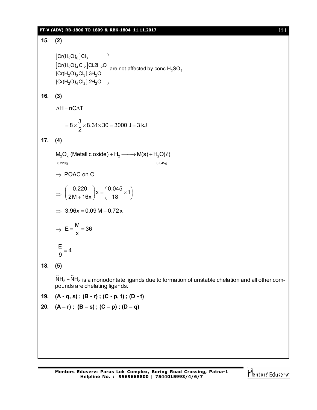# **PT-V (ADV) RB-1806 TO 1809 & RBK-1804\_11.11.2017** [ **5** ]

# **15. (2)**  $\left\lfloor \mathrm{Cr(H_2O)_6}\right\rfloor$ Cl  $\lfloor\mathsf{Cr}(\mathsf{H}_2\mathsf{O})_4\mathsf{Cl}_2\rfloor$  $2^{0/6}$  3  $2^{O/4}$ <sup>2</sup> $^{O/2}$ <sup>101.21</sup><sup>2</sub> $\sigma$ </sup> are not affected by conc.H<sub>2</sub>SO<sub>4</sub>  $2^{\textsf{U}}$ /3 $^{\textsf{U}}$ 3 - 21  $^{\textsf{U}}$  $[{\rm Cr}({\rm H}_{2}{\rm O})_{4}{\rm Cl}_{2}]$ .2 ${\rm H}_{2}{\rm O}$ Cr(H<sub>2</sub>O)<sub>4</sub> Cl<sub>2</sub> Cl.2H<sub>2</sub>O  $|$ are not affected by conc.H<sub>2</sub>SO  $[Cr(H<sub>2</sub>O)<sub>3</sub>Cl<sub>3</sub>]$ .3H<sub>2</sub>O  $\setminus$  $\overline{\phantom{a}}$  $\overline{\phantom{a}}$  $\overline{\phantom{a}}$  $\overline{\phantom{a}}$  $\overline{\phantom{a}}$  $\bigg)$ **16. (3)**  $\Delta H = nC \Delta T$  $8 \times \frac{3}{5} \times 8.31 \times 30 = 3000 \text{ J} = 3 \text{ kJ}$ 2  $= 8 \times \frac{6}{6} \times 8.31 \times 30 = 3000 \text{ J} = 3$ **17. (4)**  $M_2O_x$  (Metallic oxide) +  $H_2 \longrightarrow M(s) + H_2O(\ell)$ 0.220g 0.045g  $\Rightarrow$  POAC on O  $\Rightarrow \left(\frac{0.220}{2M+16x}\right) x = \left(\frac{0.045}{18} \times 1\right)$  $\left(\frac{0.220}{2M + 16x}\right)$ x =  $\left(\frac{0.045}{18} \times 1\right)$  $\Rightarrow$  3.96x = 0.09 M + 0.72 x  $\Rightarrow$  $E = \frac{M}{1} = 36$ x  $=$   $\frac{1}{2}$   $=$   $\frac{1}{2}$  $\frac{E}{2}$  = 4 9  $=$

# **18. (5)**

 $\ddot{\text{NH}}_2 - \ddot{\text{NH}}_2$  is a monodontate ligands due to formation of unstable chelation and all other compounds are chelating ligands.

**19. (A - q, s) ; (B - r) ; (C - p, t) ; (D - t)**

20. 
$$
(A - r)
$$
;  $(B - s)$ ;  $(C - p)$ ;  $(D - q)$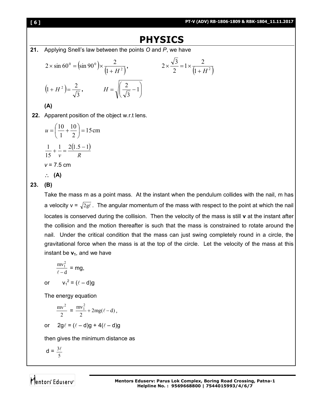# **[ 6 ] PT-V (ADV) RB-1806-1809 & RBK-1804\_11.11.2017**

# **PHYSICS**

**21.** Applying Snell's law between the points *O* and *P*, we have

$$
2 \times \sin 60^{\circ} = (\sin 90^{\circ}) \times \frac{2}{(1+H^2)}, \qquad 2 \times \frac{\sqrt{3}}{2} = 1 \times \frac{2}{(1+H^2)}
$$

$$
(1+H^2) = \frac{2}{\sqrt{3}}, \qquad H = \sqrt{\frac{2}{\sqrt{3}} - 1}
$$

**(A)**

**22.** Apparent position of the object w.r.t lens.

$$
u = \left(\frac{10}{1} + \frac{10}{2}\right) = 15 \text{ cm}
$$
  

$$
\frac{1}{15} + \frac{1}{v} = \frac{2(1.5 - 1)}{R}
$$
  

$$
v = 7.5 \text{ cm}
$$
  

$$
\therefore \textbf{(A)}
$$

# **23. (B)**

Take the mass m as a point mass. At the instant when the pendulum collides with the nail, m has a velocity  $v = \sqrt{2gt}$ . The angular momentum of the mass with respect to the point at which the nail locates is conserved during the collision. Then the velocity of the mass is still **v** at the instant after the collision and the motion thereafter is such that the mass is constrained to rotate around the nail. Under the critical condition that the mass can just swing completely round in a circle, the gravitational force when the mass is at the top of the circle. Let the velocity of the mass at this instant be  $v_1$ , and we have

$$
\frac{mv_1^2}{\ell - d} = mg,
$$

or  $v_1^2 = (\ell - d)g$ 

The energy equation

$$
\frac{mv^2}{2} = \frac{mv_1^2}{2} + 2mg(\ell - d),
$$

or 
$$
2g\ell = (\ell - d)g + 4(\ell - d)g
$$

then gives the minimum distance as

$$
d = \frac{3\ell}{5}
$$

Mentors Eduserv<sup>®</sup>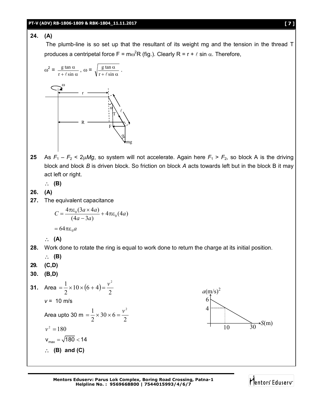# **24. (A)**

The plumb-line is so set up that the resultant of its weight mg and the tension in the thread T produces a centripetal force F =  $\text{m}\omega^2 \text{R}$  (fig.). Clearly R = r +  $\ell$  sin  $\alpha$ . Therefore,



**25** As  $F_1 - F_2 < 2\mu Mg$ , so system will not accelerate. Again here  $F_1 > F_2$ , so block A is the driving block and block *B* is driven block. So friction on block *A* acts towards left but in the block B it may act left or right.

**(B)**

- **26. (A)**
- **27.** The equivalent capacitance

$$
C = \frac{4\pi\varepsilon_0(3a \times 4a)}{(4a - 3a)} + 4\pi\varepsilon_0(4a)
$$

$$
= 64\pi\varepsilon_0 a
$$

$$
\therefore (A)
$$

**28.** Work done to rotate the ring is equal to work done to return the charge at its initial position.

$$
\begin{array}{cc} \therefore & (B) \\ 29. & (C,D) \end{array}
$$

**30. (B,D)**

31. Area 
$$
= \frac{1}{2} \times 10 \times (6 + 4) = \frac{v^2}{2}
$$
  
\n $v = 10 \text{ m/s}$   
\nArea upto 30 m  $= \frac{1}{2} \times 30 \times 6 = \frac{v^2}{2}$   
\n $v^2 = 180$   
\n $v_{\text{max}} = \sqrt{180} < 14$   
\n $\therefore$  (B) and (C)

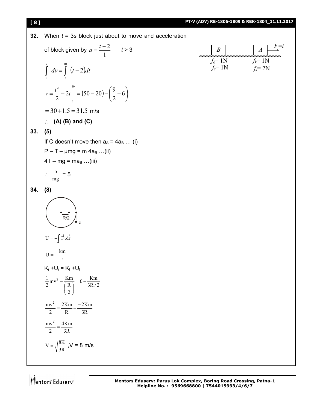### **[ 8 ] PT-V (ADV) RB-1806-1809 & RBK-1804\_11.11.2017 32.** When *t* = 3s block just about to move and acceleration of block given by 1  $a = \frac{t-2}{t}$   $t > 3$  $dv = (t-2)dt$ *v* 2 10  $\int_{0} dv = \int_{3} (t (50-20)-\frac{3}{2}-6$ J  $\left(\frac{9}{2}-6\right)$  $\setminus$  $\left[\frac{t^2}{2}-2t\right] = (50-20) - \left(\frac{9}{2}-6\right)$ 2  $2t\Big|^{10} = (50 - 20) - \Big(\frac{9}{2}\Big)^2$ 2 2  $|^{10}$ 3  $v = \frac{t^2}{2} - 2t$  $= 30 + 1.5 = 31.5$  m/s **(A) (B) and (C) 33. (5)** If C doesn't move then  $a_A = 4a_B$  ... (i)  $P - T - \mu mg = m 4a<sub>B</sub> ... (ii)$  $4T - mg = ma_B$  ...(iii)  $\therefore \frac{P}{mg}$  $\frac{p}{-} = 5$ **34. (8)**  $U = -\int \vec{F} \cdot d\vec{r}$  $U = -\frac{km}{r}$  $K_i + U_i = K_f + U_f$  $0 - \frac{\text{Km}}{3\text{R}/2}$ 2 R  $\frac{1}{2}mv^2 - \frac{Km}{(R)}$  $\frac{1}{2}mv^2 - \frac{Km}{(R)} = 0$  $\overline{1}$  $\bigg)$  $\left(\frac{R}{2}\right)$  $\backslash$ ſ -3R 2Km R 2Km 2  $\frac{mv^2}{2} = \frac{2Km}{R} -$ 3R 4Km 2 mv 2  $=$ 3R  $V = \sqrt{\frac{8K}{2D}}$ ,  $V = 8$  m/s  $B \longrightarrow A \longrightarrow$ *F=t*  $f_k = 1N$  $f_s = 1N$  $f_k = 1N$  $f_s = 2N$ u  $\overline{R/2}$

Mentors Eduserv<sup>®</sup>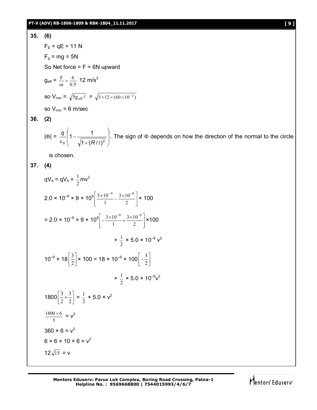# **PT-V (ADV) RB-1806-1809 & RBK-1804\_11.11.2017 [ 9 ]**

35. (6)  
\n
$$
F_E = qE = 11 \text{ N}
$$
  
\n $F_g = mg = 5N$   
\nSo Net force = F = 6N upward  
\n $g_{eff} = \frac{F}{m} = \frac{6}{0.5} 12 \text{ m/s}^2$   
\nso V<sub>min</sub> =  $\sqrt{5g_{eff} \ell} = \sqrt{5 \times 12 \times (60 \times 10^{-2})}$   
\nso V<sub>min</sub> = 6 m/sec

# **36. (2)**

$$
|\Phi| = \frac{q}{\varepsilon_0} \left( 1 - \frac{1}{\sqrt{1 + (R/l)^2}} \right).
$$
 The sign of  $\Phi$  depends on how the direction of the normal to the circle

is chosen.

**37. (4)**

$$
qV_a = qV_b + \frac{1}{2}mv^2
$$
  
\n
$$
2.0 \times 10^{-9} \times 9 \times 10^9 \left[ \frac{3 \times 10^{-9}}{1} - \frac{3 \times 10^{-9}}{2} \right] \times 100
$$
  
\n
$$
= 2.0 \times 10^{-9} \times 9 \times 10^9 \left[ -\frac{3 \times 10^{-9}}{1} + \frac{3 \times 10^{-9}}{2} \right] \times 100
$$
  
\n
$$
+ \frac{1}{2} \times 5.0 \times 10^{-9} v^2
$$
  
\n
$$
10^{-9} \times 18 \left[ \frac{3}{2} \right] \times 100 = 18 \times 10^{-9} \times 100 \left[ -\frac{3}{2} \right]
$$
  
\n
$$
+ \frac{1}{2} \times 5.0 \times 10^{-9} v^2
$$
  
\n
$$
1800 \left[ \frac{3}{2} + \frac{3}{2} \right] = \frac{1}{2} \times 5.0 \times v^2
$$
  
\n
$$
\frac{1800 \times 6}{5} = v^2
$$
  
\n
$$
360 \times 6 = v^2
$$
  
\n
$$
6 \times 6 \times 10 \times 6 = v^2
$$
  
\n
$$
12\sqrt{15} = v
$$

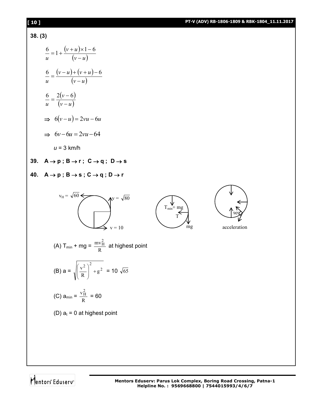# **[ 10 ] PT-V (ADV) RB-1806-1809 & RBK-1804\_11.11.2017**

# **38. (3)**

$$
\frac{6}{u} = 1 + \frac{(v+u)\times 1 - 6}{(v-u)}
$$

$$
\frac{6}{u} = \frac{(v-u) + (v+u) - 6}{(v-u)}
$$

$$
\frac{6}{u} = \frac{2(v-6)}{(v-u)}
$$

$$
\Rightarrow 6(v-u) = 2vu - 6u
$$

$$
\Rightarrow 6v - 6u = 2vu - 64
$$

*u* = 3 km/h

# 39.  $A \rightarrow p$ ;  $B \rightarrow r$ ;  $C \rightarrow q$ ;  $D \rightarrow s$

# 40.  $A \rightarrow p$ ;  $B \rightarrow s$ ;  $C \rightarrow q$ ;  $D \rightarrow r$







mg acceleration

(A) T<sub>min</sub> + mg = 
$$
\frac{mv_H^2}{R}
$$
 at highest point

(B) 
$$
a = \sqrt{\left(\frac{v^2}{R}\right)^2 + g^2} = 10 \sqrt{65}
$$

(C) 
$$
a_{\min} = \frac{v_H^2}{R} = 60
$$

(D)  $a_t = 0$  at highest point

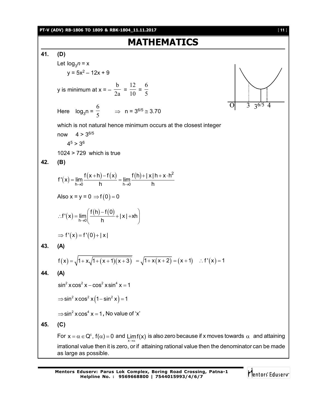

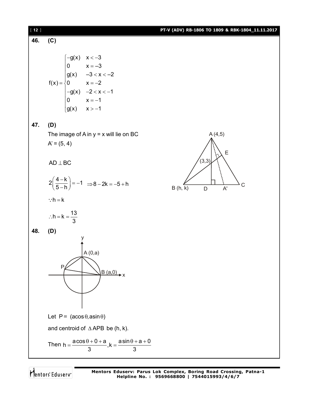| $[12]$ |                                                                                                                                                                    | PT-V (ADV) RB-1806 TO 1809 & RBK-1804_11.11.2017 |
|--------|--------------------------------------------------------------------------------------------------------------------------------------------------------------------|--------------------------------------------------|
| 46.    | (C)                                                                                                                                                                |                                                  |
|        | $f(x) = \begin{cases}\n-g(x) & x < -3 \\ 0 & x = -3 \\ g(x) & -3 < x < -2 \\ 0 & x = -2 \\ -g(x) & -2 < x < -1 \\ 0 & x = -1\n\end{cases}$<br>$\int g(x)$ $x > -1$ |                                                  |
| 47.    | (D)                                                                                                                                                                |                                                  |
|        | The image of $A$ in $y = x$ will lie on BC                                                                                                                         | A(4,5)                                           |
|        | $A' = (5, 4)$                                                                                                                                                      | $\mathsf E$                                      |
|        | $\mathsf{AD} \perp \mathsf{BC}$                                                                                                                                    | (3,3)                                            |
|        | $2\left(\frac{4-k}{5-h}\right) = -1 \implies 8 - 2k = -5 + h$                                                                                                      | C<br>B(h, k)<br>$A^{\prime}$<br>D                |
|        | $\therefore h = k$                                                                                                                                                 |                                                  |
|        | $\therefore h = k = \frac{13}{3}$                                                                                                                                  |                                                  |
| 48.    | (D)                                                                                                                                                                |                                                  |
|        | $\bigg\vert$ A (0,a)<br>$P_{\ell}$<br>$B(a,0)$ $\rightarrow$ X                                                                                                     |                                                  |
|        | Let $P = (acos \theta,asin \theta)$                                                                                                                                |                                                  |
|        | and centroid of $\triangle$ APB be (h, k).                                                                                                                         |                                                  |
|        | Then $h = \frac{a\cos\theta + 0 + a}{3}$ , $k = \frac{a\sin\theta + a + 0}{3}$                                                                                     |                                                  |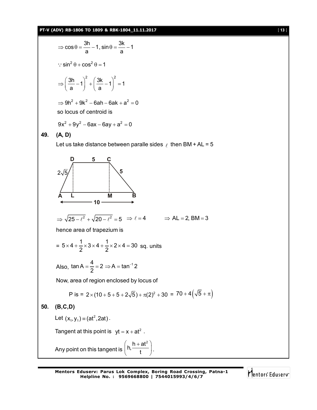# **PT-V (ADV) RB-1806 TO 1809 & RBK-1804\_11.11.2017** [ **13** ]

$$
\Rightarrow \cos \theta = \frac{3h}{a} - 1, \sin \theta = \frac{3k}{a} - 1
$$
  
\n
$$
\therefore \sin^2 \theta + \cos^2 \theta = 1
$$
  
\n
$$
\Rightarrow \left(\frac{3h}{a} - 1\right)^2 + \left(\frac{3k}{a} - 1\right)^2 = 1
$$
  
\n
$$
\Rightarrow 9h^2 + 9k^2 - 6ah - 6ak + a^2 = 0
$$
  
\nso locus of centroid is  
\n
$$
9x^2 + 9y^2 - 6ax - 6ay + a^2 = 0
$$
  
\n49. (A, D)  
\nLet us take distance between parallel sides e then BM + AL = 5  
\n
$$
\frac{D}{2\sqrt{5}} \int \frac{5}{\sqrt{5}}
$$
  
\n
$$
2\sqrt{5} \int \frac{5}{\sqrt{5}}
$$
  
\n
$$
\frac{1}{\sqrt{25 - \ell^2} + \sqrt{20 - \ell^2}} = 5 \Rightarrow \ell = 4 \Rightarrow AL = 2, BM = 3
$$
  
\nhence area of trapezium is  
\n
$$
= 5 \times 4 + \frac{1}{2} \times 3 \times 4 + \frac{1}{2} \times 2 \times 4 = 30 \text{ sq. units}
$$
  
\nAlso,  $\tan A = \frac{4}{2} = 2 \Rightarrow A = \tan^{-1} 2$   
\nNow, area of region enclosed by locus of  
\nP is =  $2 \times (10 + 5 + 5 + 2\sqrt{5}) + \pi(2)^2 + 30 = 70 + 4(\sqrt{5} + \pi)$   
\n50. (B, C, D)  
\nLet  $(x_1, y_1) = (at^2, 2at)$ .  
\nTangent at this point is  $yt = x + at^2$ .  
\nAny point on this tangent is  $\left(h, \frac{h + at^2}{t}\right)$ .

Mentors<sup>e</sup> Eduserv<sup>-</sup>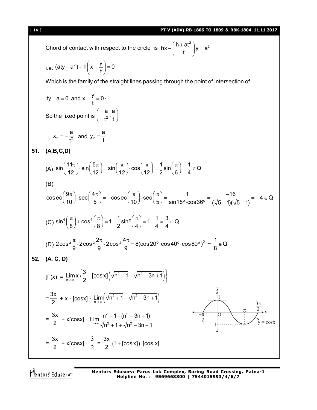Chord of contact with respect to the circle is  $hx + \left(\frac{h + at^2}{t}\right)y = a^2$ t  $+\left(\frac{h+at^2}{t}\right)y = \epsilon$ i.e.  $(\text{aty} - a^2) + h\left(x + \frac{y}{t}\right) = 0$ t  $(a-a^2) + h\left(x + \frac{y}{t}\right) = 0$ Which is the family of the straight lines passing through the point of intersection of ty – a = 0, and  $x + \frac{y}{x} = 0$ t  $-$  a = 0, and x +  $\frac{y}{t}$  = 0  $\cdot$ So the fixed point is  $\vert -\frac{1}{\tau^2}\vert$  $\frac{a}{2}, \frac{a}{2}$  $t^2$  t  $\left(-\frac{a}{t^2},\frac{a}{t}\right)$  $\therefore$  X<sub>2</sub> =  $-\frac{1}{12}$  $x_2 = -\frac{a}{2}$  $=-\frac{a}{t^2}$  and  $y_2 = \frac{a}{t}$ t  $=$ **51. (A,B,C,D)** (A)  $\sin\left(\frac{11\pi}{12}\right) \cdot \sin\left(\frac{5\pi}{12}\right) = \sin\left(\frac{\pi}{12}\right) \cdot \cos\left(\frac{\pi}{12}\right) = \frac{1}{2} \sin\left(\frac{\pi}{6}\right) = \frac{1}{4} \in \mathbb{Q}$  $\left(\frac{11\pi}{12}\right) \cdot \sin\left(\frac{5\pi}{12}\right) = \sin\left(\frac{\pi}{12}\right) \cdot \cos\left(\frac{\pi}{12}\right) = \frac{1}{2} \sin\left(\frac{\pi}{6}\right) = \frac{1}{4} \in \mathcal{C}$ (B)  $\csc\left(\frac{9\pi}{10}\right)$   $\sec\left(\frac{4\pi}{5}\right) = -\csc\left(\frac{\pi}{10}\right)$   $\sec\left(\frac{\pi}{5}\right) = \frac{1}{\sqrt{100}} = \frac{-16}{\sqrt{15}} = -4 \in \mathbb{Q}$  $\left(\frac{9\pi}{10}\right) \cdot \sec\left(\frac{4\pi}{5}\right) = -\csc\left(\frac{\pi}{10}\right) \cdot \sec\left(\frac{\pi}{5}\right) = \frac{1}{\sin 18^\circ \cdot \cos 36^\circ} = \frac{-16}{(\sqrt{5}-1)(\sqrt{5}+1)} = -4 \in \mathbb{C}$ (C)  $\sin^4\left(\frac{\pi}{8}\right) + \cos^4\left(\frac{\pi}{8}\right) = 1 - \frac{1}{2}\sin^2\left(\frac{\pi}{4}\right) = 1 - \frac{1}{4} = \frac{3}{4} \in \mathbb{Q}$ (D)  $2\cos^2{\frac{\pi}{2}} \cdot 2\cos^2{\frac{2\pi}{3}} \cdot 2\cos^2{\frac{4\pi}{3}} = 8(\cos{20^\circ} \cdot \cos{40^\circ} \cdot \cos{80^\circ})^2$ 9 9 9  $\frac{\pi}{6}$  · 2 cos<sup>2</sup>  $\frac{2\pi}{6}$  · 2 cos<sup>2</sup>  $\frac{4\pi}{6}$  = 8(cos 20° · cos 40° · cos 80°)<sup>2</sup> =  $\frac{1}{6}$   $\in$  Q 8  $\in$ **52. (A, C, D)**  $\left[ f(x) = \lim_{n \to \infty} x \left\{ \frac{3}{2} + [\cos x] \left( \sqrt{n^2 + 1} - \sqrt{n^2 - 3n + 1} \right) \right\} \right]$ n Lim x  $\left\{\frac{3}{2} + [\cos x] \left(\sqrt{n^2 + 1} - \sqrt{n^2 - 3n + 1}\right)\right\}$  $\lim_{n \to \infty} x \left\{ \frac{3}{2} + [\cos x] \left( \sqrt{n^2 + 1} - \sqrt{n^2 - 3n + 1} \right) \right\}$ = 3x  $\frac{32}{2}$  + x · [cosx] ·  $\lim_{n\to\infty} (\sqrt{n^2 + 1} - \sqrt{n^2 - 3n + 1})$ Lim  $\left(\sqrt{n^2+1}-\sqrt{n^2-3n+1}\right)$   $\frac{1}{\sqrt{1-\frac{3}{2}}}\right\}$ –1  $\overline{O}$ ņ 3 2  $\frac{\pi}{2}$  $-\pi$  2 y x =  $\frac{2}{2}$  + x[cosx]  $\cdot$  Lim 3x  $\frac{1}{2}$  + x[cosx] ·  $2 \cdot 1 \cdot \ln^2$  $\lim_{n \to \infty} \frac{n^2 + 1 - (n^2 - 3n + 1)}{\sqrt{n^2 + 1} + \sqrt{n^2 + 3n + 1}}$  $\rightarrow \infty$   $\sqrt{n^2 + 1} + \sqrt{n^2 - 3n + 1}$  $+1-(n^2-3n+1)$  $+1+\sqrt{n^2-3n+1}$ = 3x  $\frac{1}{2}$  + x[cosx] ·  $\frac{1}{2}$ 3 = 3x  $\frac{1}{2}$   $(1 + [\cos x])$   $[\cos x]$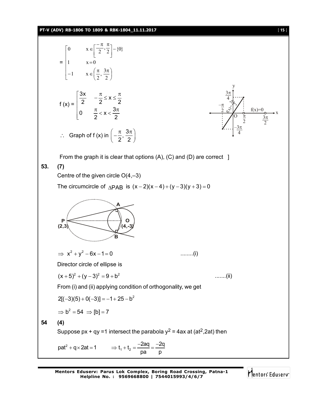# **PT-V (ADV) RB-1806 TO 1809 & RBK-1804\_11.11.2017** [ **15** ]

=  $\mathbf{r}$  $\mathbb{I}$  $\mathbb{R}$  $\mathbf{r}$  $\mathbb{R}$  $\overline{\mathsf{L}}$  $\mathbf{r}$ J J  $\left(\frac{\pi}{2},\frac{3\pi}{2}\right)$  $\overline{\phantom{0}}$  $-1 \quad x \in \left(\frac{\pi}{2}, \frac{3\pi}{2}\right)$  $=$  $\Bigg]$  –  $\overline{\phantom{a}}$  $\overline{\mathsf{L}}$  $\left[\frac{-\pi}{2}, \frac{\pi}{2}\right]$  $\in$ 2 1  $x \in \left(\frac{\pi}{2}, \frac{3}{2}\right)$ 1  $x=0$ 0  $x \in \left[\frac{\pi}{2}, \frac{\pi}{2}\right] - \{0\}$ f  $(x) =$  $\frac{3x}{2}$   $-\frac{\pi}{2} \leq x$ 2 2 2 0  $\frac{\pi}{2} < x < \frac{3}{4}$ 2 2  $\frac{3x}{2}$   $-\frac{\pi}{2} \le x \le \frac{\pi}{2}$ L  $\left[0 \quad \frac{\pi}{2} < x < \frac{3\pi}{2}\right]$  $\therefore$  Graph of f (x) in  $\left(-\frac{\pi}{2}, \frac{3\pi}{4}\right)$  $2^{\degree}$  2  $\left(-\frac{\pi}{2},\frac{3\pi}{2}\right)$ 3 2  $\frac{\pi}{2}$ 3 4  $\pi$ – 2  $\overline{\pi}$  $\frac{1}{2}$ –3 4  $\pi$  $\bar{\pi}$ 2  $\frac{1}{2}$ y x  $\sqrt{\frac{1}{2}}$  f(x)=0 ି∜⁄  $\gamma$  $\mathbf{O}$ From the graph it is clear that options  $(A)$ ,  $(C)$  and  $(D)$  are correct ] **53. (7)** Centre of the given circle  $O(4,-3)$ The circumcircle of  $\triangle PAB$  is  $(x - 2)(x - 4) + (y - 3)(y + 3) = 0$ **A B P (2,3) O (4,-3)**  $\Rightarrow$   $x^2 + y^2 - 6x - 1 = 0$  .........(i) Director circle of ellipse is  $(x+5)^2 + (y-3)^2 = 9 + b^2$  ........(ii) From (i) and (ii) applying condition of orthogonality, we get  $2[(-3)(5) + 0(-3)] = -1 + 25 - b^2$  $\Rightarrow$  b<sup>2</sup> = 54  $\Rightarrow$  [b] = 7 **54 (4)** Suppose px + qy =1 intersect the parabola  $y^2$  = 4ax at (at<sup>2</sup>,2at) then  $pat^2 + q \times 2at = 1$   $\Rightarrow t_1 + t_2 = \frac{-2aq}{2a} = \frac{-2q}{2a}$ pa p + q × 2at = 1  $\implies t_1 + t_2 = \frac{-2aq}{-2q} = \frac{-2}{2}$ 

**Mentors Eduserv: Parus Lok Complex, Boring Road Crossing, Patna-1 Helpline No. : 9569668800 | 7544015993/4/6/7**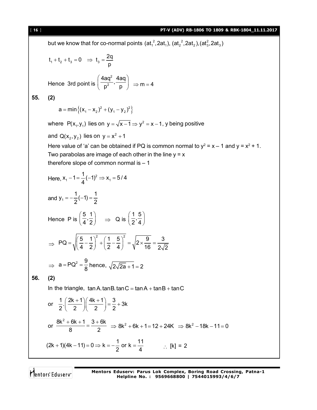## [ **16** ] **PT-V (ADV) RB-1806 TO 1809 & RBK-1804\_11.11.2017**

but we know that for co-normal points  $(\mathsf{at}^2_\text{{\tiny 1}},\mathsf{2at}_\text{{\tiny 1}}),(\mathsf{at}^2_\text{{\tiny 2}},\mathsf{2at}_\text{{\tiny 2}}),(\mathsf{at}^2_\text{{\tiny 3}},\mathsf{2at}_\text{{\tiny 3}})$  $t_1 + t_2 + t_3 = 0 \Rightarrow t_3 = \frac{2q}{r}$ p Hence 3rd point is  $\left(\frac{4aq^2}{p^2}, \frac{4aq}{p}\right)$ 2  $\frac{4aq^2}{2}$ ,  $\frac{4aq}{2}$  $\overline{p^2}$ ,  $\overline{p}$   $\Rightarrow$  m = 4 **55. (2)**  $a = min \{ (x_1 - x_2)^2 + (y_1 - y_2)^2 \}$ where  $\ P(\mathsf{x_1},\mathsf{y_1})$  lies on  $\mathsf{y}=\sqrt{\mathsf{x-1}}\Rightarrow\mathsf{y^2}=\mathsf{x-1}$ ,  $\mathsf{y}$  being positive and  $Q(x_2, y_2)$  lies on  $y = x^2 + 1$ Here value of 'a' can be obtained if PQ is common normal to  $y^2 = x - 1$  and  $y = x^2 + 1$ . Two parabolas are image of each other in the line  $y = x$ therefore slope of common normal is  $-1$ Here,  $X_1 - 1 = \frac{1}{4}(-1)^2 \Rightarrow X_1 = \frac{1}{2}$  $x_1 - 1 = \frac{1}{2}(-1)^2 \Rightarrow x_1 = 5/4$ 4 and  $y_1 = -\frac{1}{2}(-1) = \frac{1}{2}$  $2'$  2 Hence P is  $\left(\frac{5}{4}, \frac{1}{2}\right) \Rightarrow$  Q is  $\left(\frac{1}{2}, \frac{5}{4}\right)$  $2^74$  $\Rightarrow$  $=\sqrt{\left(\frac{5}{4}-\frac{1}{2}\right)^2+\left(\frac{1}{2}-\frac{5}{4}\right)^2}=\sqrt{2\times\frac{9}{16}}=\frac{1}{2}$  $PQ = \sqrt{\left(\frac{5}{2} - \frac{1}{2}\right)^2 + \left(\frac{1}{2} - \frac{5}{2}\right)^2} = \sqrt{2 \times \frac{9}{10}} = \frac{3}{25}$ 4 2  $(2 \t 4)$   $\sqrt{16}$   $2\sqrt{2}$  $\Rightarrow$  a = PQ<sup>2</sup> =  $\frac{9}{9}$  $\frac{1}{8}$  hence,  $\sqrt{2\sqrt{2a}} + 1 = 2$ **56. (2)** In the triangle,  $tan A$  tanB tanC =  $tan A + tan B + tan C$ or  $\frac{1}{2} \cdot \left( \frac{2k+1}{2} \right) \left( \frac{4k+1}{2} \right) = \frac{3}{2} + 3k$  $2 ( 2 ) ( 2 ) 2$ or  $\frac{8k^2 + 6k + 1}{8} = \frac{3 + 6k}{8}$  $\frac{8k^2 + 6k + 1}{8} = \frac{3 + 6k}{2}$   $\Rightarrow 8k^2 + 6k + 1 = 12 + 24k$   $\Rightarrow 8k^2 - 18k - 11 = 0$  $(2k + 1)(4k - 11) = 0 \Rightarrow k = -\frac{1}{6}$  or  $k = \frac{11}{6}$  $\frac{1}{2}$  or k =  $\frac{1}{4}$   $\therefore$  [k] = 2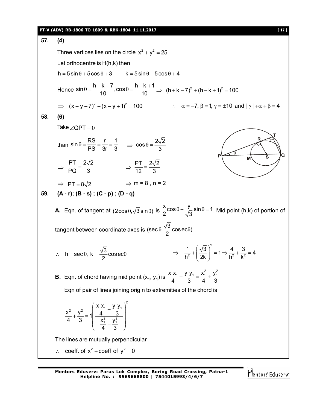### **PT-V (ADV) RB-1806 TO 1809 & RBK-1804\_11.11.2017** [ **17** ]

**57. (4)** Three vertices lies on the circle  $x^2 + y^2 = 25$ Let orthocentre is H(h,k) then h 5 sin 5cos 3 k 5 sin 5cos 4 Hence  $\sin \theta = \frac{h + k - 7}{10}$ ,  $\cos \theta = \frac{h - k + 1}{10} \Rightarrow (h + k - 7)^2 + (h - k + 1)^2 = 100$  $\Rightarrow$   $(x+y-7)^2 + (x-y+1)^2 = 100$   $\therefore$   $\alpha = -7, \beta = 1, \gamma = \pm 10$  and  $|\gamma| + \alpha + \beta = 4$ **58. (6)** Take  $\angle$ QPT =  $\theta$ than  $\sin \theta = \frac{RS}{PS} = \frac{r}{3r} = \frac{1}{3}$   $\Rightarrow \cos \theta = \frac{2\sqrt{2}}{3}$ 3  $P \overbrace{M}$  s  $\overline{Q}$ **R T M S**  $\Theta$  $\Rightarrow \frac{PT}{PQ} = \frac{2\sqrt{2}}{2}$  $\frac{PT}{PQ} = \frac{2\sqrt{2}}{3}$   $\Rightarrow \frac{PT}{12} = \frac{2\sqrt{2}}{3}$ 12 3  $\Rightarrow$  PT =  $8\sqrt{2}$   $\Rightarrow$  m = 8, n = 2 **59. (A - r); (B - s) ; (C - p) ; (D - q) A** Eqn. of tangent at  $(2\cos\theta, \sqrt{3}\sin\theta)$  is  $\frac{x}{2}\cos\theta + \frac{y}{\sqrt{3}}\sin\theta = 1$ .  $\frac{\pi}{2}$ cos $\theta$  +  $\frac{J}{\sqrt{3}}$ sin $\theta$  = 1. Mid point (h,k) of portion of tangent between coordinate axes is (sec $\theta$ ,  $\frac{\sqrt{3}}{2}$  cosec $\theta$ ) 2  $\theta$ ,  $\sim$  cosec $\theta$ ) h = sec  $\theta$ , k =  $\frac{\sqrt{3}}{2}$ cosec 2  $\therefore$  h = sec  $\theta$ , k =  $\frac{\sqrt{6}}{2}$  cosec $\theta$ 2  $\left(\frac{1}{2^2}+\frac{\sqrt{3}}{2^2}\right)^2 = 1 \Rightarrow \frac{4}{2^2}+\frac{3}{2^2} = 4$  $h^2$   $(2k)$   $h^2$   $k^2$  $(\sqrt{3})^2$  $\Rightarrow \frac{1}{h^2} + \left(\frac{\sqrt{6}}{2k}\right) = 1 \Rightarrow \frac{1}{h^2} + \frac{\sqrt{6}}{k^2} = 4$ **B.** Eqn. of chord having mid point  $(x_1, y_1)$  is  $x x_1 + y y_1 = x_1^2 + y_1^2$ 4 3 4 3  $+\frac{y}{2}-\frac{y_1}{2}=-\frac{y_1}{2}+$ Eqn of pair of lines joining origin to extremities of the chord is 2 2  $1 + \frac{x}{1} + \frac{y}{2}$  $\frac{2}{1}$   $\frac{y_1^2}{1}$  $x x_1 + y y_1$  $\frac{x^2}{4} + \frac{y^2}{2} = 1 \frac{1}{4} \frac{4}{x^2} + \frac{3}{x^2}$ 4 3  $x_1^2, y_1^2$ 4 3  $\left(\frac{X X_1}{4} + \frac{Y Y_1}{3}\right)^2$  $+\frac{y}{2} = 1 + \frac{4}{x^2} + \frac{3}{x^2}$  $\frac{X_1^2}{4} + \frac{Y_1^2}{2}$  $(43)$ The lines are mutually perpendicular  $\therefore$  coeff. of  $x^2$  + coeff of  $y^2 = 0$